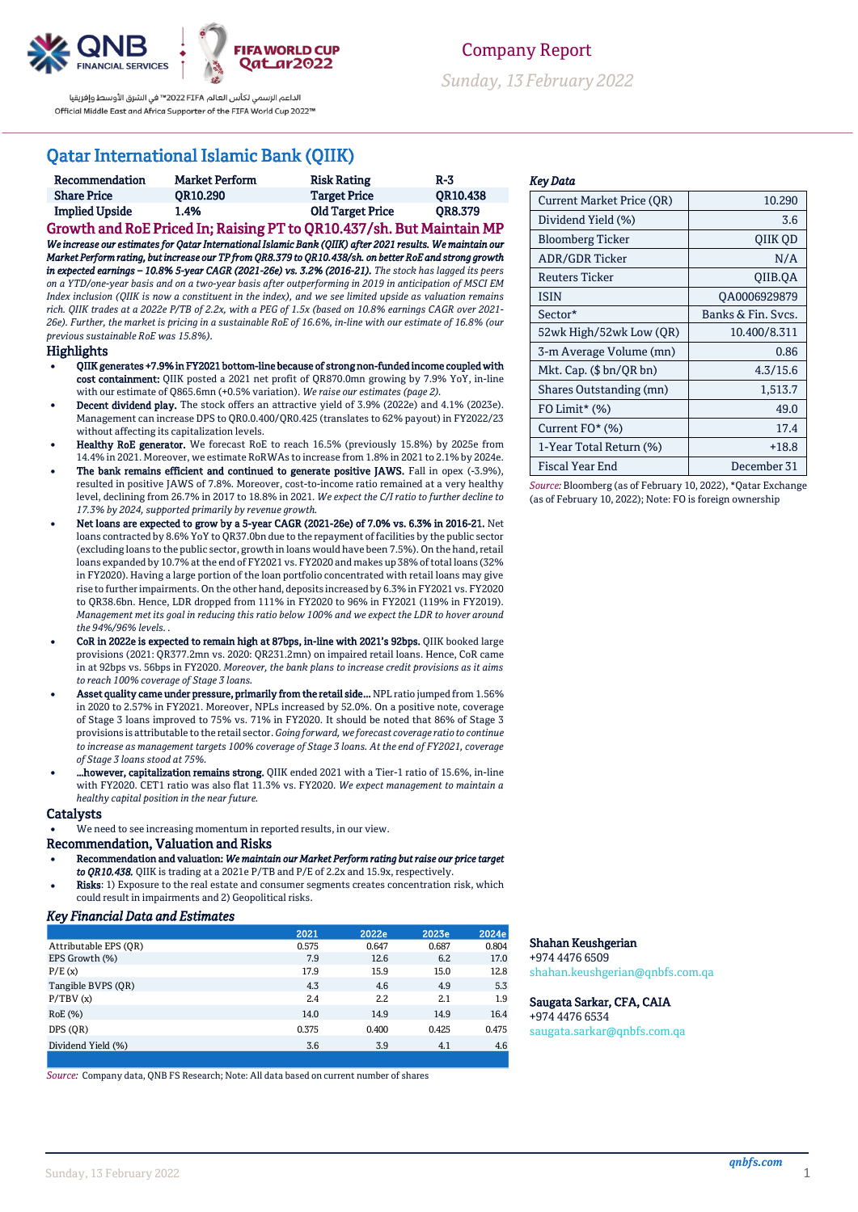

الداعم الرسمى لكأس العالم Z022 FIFA™ فى الشرق الأوسط وإفريقيا Official Middle East and Africa Supporter of the FIFA World Cup 2022™

## Qatar International Islamic Bank (QIIK)

| Recommendation        | <b>Market Perform</b> | <b>Risk Rating</b>      | $R-3$           |
|-----------------------|-----------------------|-------------------------|-----------------|
| <b>Share Price</b>    | <b>OR10.290</b>       | <b>Target Price</b>     | <b>OR10.438</b> |
| <b>Implied Upside</b> | 1.4%                  | <b>Old Target Price</b> | <b>OR8.379</b>  |

Growth and RoE Priced In; Raising PT to QR10.437/sh. But Maintain MP *We increase our estimates for Qatar International Islamic Bank (QIIK) after 2021 results. We maintain our Market Perform rating, but increase our TP from QR8.379 to QR10.438/sh. on better RoE and strong growth in expected earnings – 10.8% 5-year CAGR (2021-26e) vs. 3.2% (2016-21). The stock has lagged its peers on a YTD/one-year basis and on a two-year basis after outperforming in 2019 in anticipation of MSCI EM Index inclusion (QIIK is now a constituent in the index), and we see limited upside as valuation remains rich. QIIK trades at a 2022e P/TB of 2.2x, with a PEG of 1.5x (based on 10.8% earnings CAGR over 2021- 26e). Further, the market is pricing in a sustainable RoE of 16.6%, in-line with our estimate of 16.8% (our previous sustainable RoE was 15.8%).*

#### **Highlights**

- QIIK generates +7.9% in FY2021 bottom-line because of strong non-funded income coupled with cost containment: QIIK posted a 2021 net profit of QR870.0mn growing by 7.9% YoY, in-line with our estimate of Q865.6mn (+0.5% variation). *We raise our estimates (page 2).*
- Decent dividend play. The stock offers an attractive yield of 3.9% (2022e) and 4.1% (2023e). Management can increase DPS to QR0.0.400/QR0.425 (translates to 62% payout) in FY2022/23 without affecting its capitalization levels.
- Healthy RoE generator. We forecast RoE to reach 16.5% (previously 15.8%) by 2025e from 14.4% in 2021. Moreover, we estimate RoRWAs to increase from 1.8% in 2021 to 2.1% by 2024e.
- The bank remains efficient and continued to generate positive JAWS. Fall in opex (-3.9%), resulted in positive JAWS of 7.8%. Moreover, cost-to-income ratio remained at a very healthy level, declining from 26.7% in 2017 to 18.8% in 2021. *We expect the C/I ratio to further decline to 17.3% by 2024, supported primarily by revenue growth.*
- Net loans are expected to grow by a 5-year CAGR (2021-26e) of 7.0% vs. 6.3% in 2016-21. Net loans contracted by 8.6% YoY to QR37.0bn due to the repayment of facilities by the public sector (excluding loans to the public sector, growth in loans would have been 7.5%). On the hand, retail loans expanded by 10.7% at the end of FY2021 vs. FY2020 and makes up 38% of total loans (32% in FY2020). Having a large portion of the loan portfolio concentrated with retail loans may give rise to further impairments. On the other hand, deposits increased by 6.3% in FY2021 vs. FY2020 to QR38.6bn. Hence, LDR dropped from 111% in FY2020 to 96% in FY2021 (119% in FY2019). *Management met its goal in reducing this ratio below 100% and we expect the LDR to hover around the 94%/96% levels. .*
- CoR in 2022e is expected to remain high at 87bps, in-line with 2021's 92bps. QIIK booked large provisions (2021: QR377.2mn vs. 2020: QR231.2mn) on impaired retail loans. Hence, CoR came in at 92bps vs. 56bps in FY2020. *Moreover, the bank plans to increase credit provisions as it aims to reach 100% coverage of Stage 3 loans.*
- Asset quality came under pressure, primarily from the retail side... NPL ratio jumped from 1.56% in 2020 to 2.57% in FY2021. Moreover, NPLs increased by 52.0%. On a positive note, coverage of Stage 3 loans improved to 75% vs. 71% in FY2020. It should be noted that 86% of Stage 3 provisions is attributable to the retail sector. *Going forward, we forecast coverage ratio to continue to increase as management targets 100% coverage of Stage 3 loans. At the end of FY2021, coverage of Stage 3 loans stood at 75%.*
- …however, capitalization remains strong. QIIK ended 2021 with a Tier-1 ratio of 15.6%, in-line with FY2020. CET1 ratio was also flat 11.3% vs. FY2020. *We expect management to maintain a healthy capital position in the near future.*

#### **Catalysts**

We need to see increasing momentum in reported results, in our view.

### Recommendation, Valuation and Risks

- Recommendation and valuation: *We maintain our Market Perform rating but raise our price target to QR10.438.* QIIK is trading at a 2021e P/TB and P/E of 2.2x and 15.9x, respectively.
- Risks: 1) Exposure to the real estate and consumer segments creates concentration risk, which could result in impairments and 2) Geopolitical risks.

## *Key Financial Data and Estimates*

|                       | 2021  | 2022e | 2023e | 2024e |
|-----------------------|-------|-------|-------|-------|
| Attributable EPS (OR) | 0.575 | 0.647 | 0.687 | 0.804 |
| EPS Growth (%)        | 7.9   | 12.6  | 6.2   | 17.0  |
| P/E(x)                | 17.9  | 15.9  | 15.0  | 12.8  |
| Tangible BVPS (OR)    | 4.3   | 4.6   | 4.9   | 5.3   |
| P/TBV(x)              | 2.4   | 2.2   | 2.1   | 1.9   |
| RoE (%)               | 14.0  | 14.9  | 14.9  | 16.4  |
| DPS (OR)              | 0.375 | 0.400 | 0.425 | 0.475 |
| Dividend Yield (%)    | 3.6   | 3.9   | 4.1   | 4.6   |
|                       |       |       |       |       |

*Source:* Company data, QNB FS Research; Note: All data based on current number of shares

Company Report

*Sunday, 13February 2022*

#### *Key Data*

| <b>Current Market Price (OR)</b> | 10.290             |
|----------------------------------|--------------------|
| Dividend Yield (%)               | 3.6                |
| Bloomberg Ticker                 | OIIK OD            |
| ADR/GDR Ticker                   | N/A                |
| <b>Reuters Ticker</b>            | OIIB.OA            |
| <b>ISIN</b>                      | QA0006929879       |
| Sector*                          | Banks & Fin. Sycs. |
| 52wk High/52wk Low (QR)          | 10.400/8.311       |
| 3-m Average Volume (mn)          | 0.86               |
| Mkt. Cap. $(\$bn/QR bn)$         | 4.3/15.6           |
| Shares Outstanding (mn)          | 1,513.7            |
| FO Limit* (%)                    | 49.0               |
| Current FO* (%)                  | 17.4               |
| 1-Year Total Return (%)          | $+18.8$            |
| Fiscal Year End                  | December 31        |

*Source:* Bloomberg (as of February 10, 2022), \*Qatar Exchange (as of February 10, 2022); Note: FO is foreign ownership

#### Shahan Keushgerian

+974 4476 6509 [shahan.keushgerian@qnbfs.com.qa](mailto:shahan.keushgerian@qnbfs.com.qa)

#### Saugata Sarkar, CFA, CAIA

+974 4476 6534 [saugata.sarkar@qnbfs.com.qa](mailto:saugata.sarkar@qnbfs.com.qa)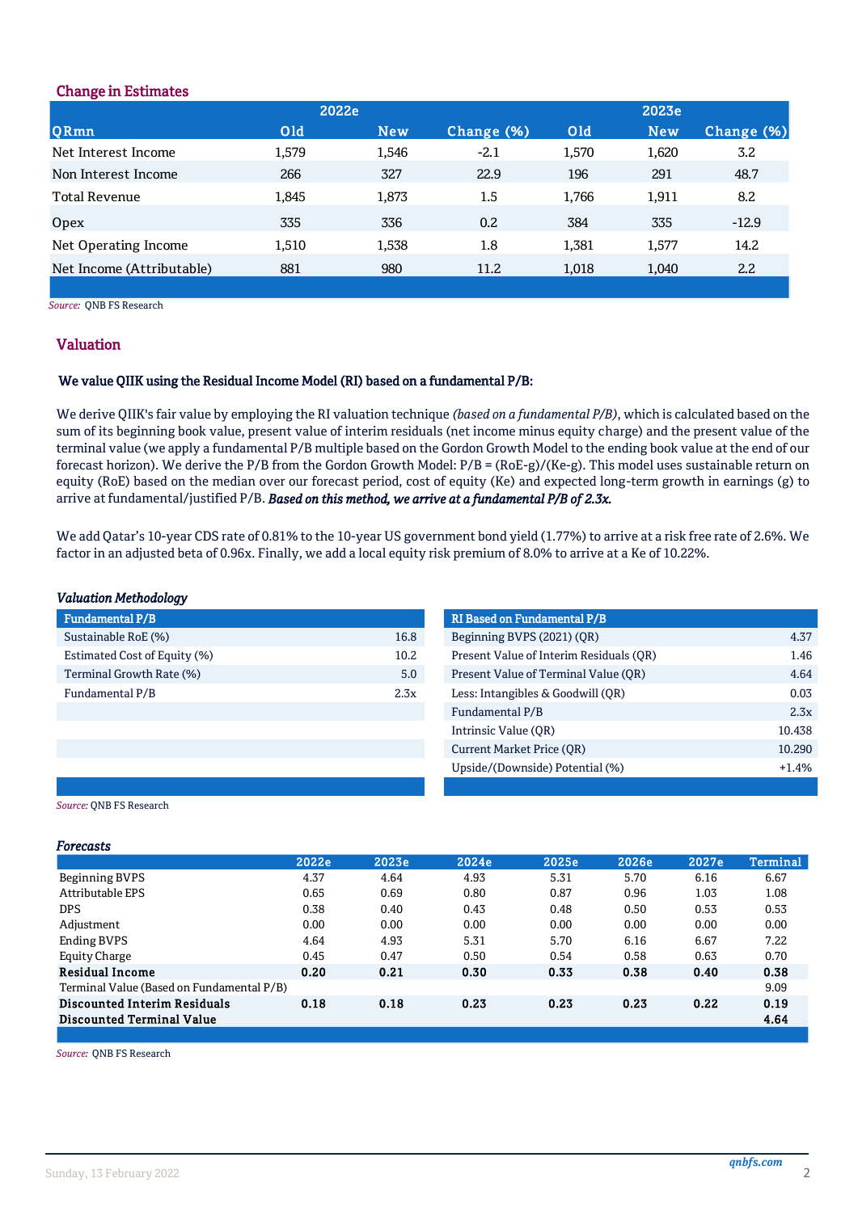## Change in Estimates

|                           | 2022e      |            |            |            | 2023e |                  |
|---------------------------|------------|------------|------------|------------|-------|------------------|
| QRmn                      | <b>Old</b> | <b>New</b> | Change (%) | <b>Old</b> | New   | Change (%)       |
| Net Interest Income       | 1,579      | 1,546      | $-2.1$     | 1,570      | 1,620 | 3.2              |
| Non Interest Income       | 266        | 327        | 22.9       | 196        | 291   | 48.7             |
| Total Revenue             | 1.845      | 1,873      | 1.5        | 1,766      | 1,911 | 8.2              |
| Opex                      | 335        | 336        | 0.2        | 384        | 335   | $-12.9$          |
| Net Operating Income      | 1,510      | 1,538      | 1.8        | 1,381      | 1,577 | 14.2             |
| Net Income (Attributable) | 881        | 980        | 11.2       | 1,018      | 1,040 | $2.2\phantom{0}$ |
|                           |            |            |            |            |       |                  |

*Source:* QNB FS Research

## Valuation

## We value QIIK using the Residual Income Model (RI) based on a fundamental P/B:

We derive QIIK's fair value by employing the RI valuation technique *(based on a fundamental P/B)*, which is calculated based on the sum of its beginning book value, present value of interim residuals (net income minus equity charge) and the present value of the terminal value (we apply a fundamental P/B multiple based on the Gordon Growth Model to the ending book value at the end of our forecast horizon). We derive the P/B from the Gordon Growth Model:  $P/B = (RoE-g)/(Ke-g)$ . This model uses sustainable return on equity (RoE) based on the median over our forecast period, cost of equity (Ke) and expected long-term growth in earnings (g) to arrive at fundamental/justified P/B. *Based on this method, we arrive at a fundamental P/B of 2.3x.*

b) We add Qatar's 10-year CDS rate of 0.81% to the 10-year US government bond yield (1.77%) to arrive at a risk free rate of 2.6%. We factor in an adjusted beta of 0.96x. Finally, we add a local equity risk premium of 8.0% to arrive at a Ke of 10.22%.

## *Valuation Methodology*

| <b>Fundamental P/B</b>       |      | <b>RI Based on Fundamental P/B</b> |
|------------------------------|------|------------------------------------|
| Sustainable RoE (%)          | 16.8 | Beginning BVPS (2021) (OR)         |
| Estimated Cost of Equity (%) | 10.2 | Present Value of Interim Resid     |
| Terminal Growth Rate (%)     | 5.0  | Present Value of Terminal Val      |
| Fundamental P/B              | 2.3x | Less: Intangibles & Goodwill (0    |
|                              |      |                                    |

| Fundamental P/B              |      | <b>RI Based on Fundamental P/B</b>      |         |
|------------------------------|------|-----------------------------------------|---------|
| Sustainable RoE (%)          | 16.8 | Beginning BVPS (2021) (QR)              | 4.37    |
| Estimated Cost of Equity (%) | 10.2 | Present Value of Interim Residuals (OR) | 1.46    |
| Terminal Growth Rate (%)     | 5.0  | Present Value of Terminal Value (OR)    | 4.64    |
| Fundamental P/B              | 2.3x | Less: Intangibles & Goodwill (OR)       | 0.03    |
|                              |      | Fundamental P/B                         | 2.3x    |
|                              |      | Intrinsic Value (OR)                    | 10.438  |
|                              |      | Current Market Price (OR)               | 10.290  |
|                              |      | Upside/(Downside) Potential (%)         | $+1.4%$ |
|                              |      |                                         |         |

*Source:* QNB FS Research

## *Forecasts*

|                                           | 2022e | 2023e | 2024e | 2025e | 2026e | 2027e | <b>Terminal</b> |
|-------------------------------------------|-------|-------|-------|-------|-------|-------|-----------------|
| Beginning BVPS                            | 4.37  | 4.64  | 4.93  | 5.31  | 5.70  | 6.16  | 6.67            |
| <b>Attributable EPS</b>                   | 0.65  | 0.69  | 0.80  | 0.87  | 0.96  | 1.03  | 1.08            |
| <b>DPS</b>                                | 0.38  | 0.40  | 0.43  | 0.48  | 0.50  | 0.53  | 0.53            |
| Adjustment                                | 0.00  | 0.00  | 0.00  | 0.00  | 0.00  | 0.00  | 0.00            |
| <b>Ending BVPS</b>                        | 4.64  | 4.93  | 5.31  | 5.70  | 6.16  | 6.67  | 7.22            |
| <b>Equity Charge</b>                      | 0.45  | 0.47  | 0.50  | 0.54  | 0.58  | 0.63  | 0.70            |
| <b>Residual Income</b>                    | 0.20  | 0.21  | 0.30  | 0.33  | 0.38  | 0.40  | 0.38            |
| Terminal Value (Based on Fundamental P/B) |       |       |       |       |       |       | 9.09            |
| Discounted Interim Residuals              | 0.18  | 0.18  | 0.23  | 0.23  | 0.23  | 0.22  | 0.19            |
| <b>Discounted Terminal Value</b>          |       |       |       |       |       |       | 4.64            |
|                                           |       |       |       |       |       |       |                 |

*Source:* QNB FS Research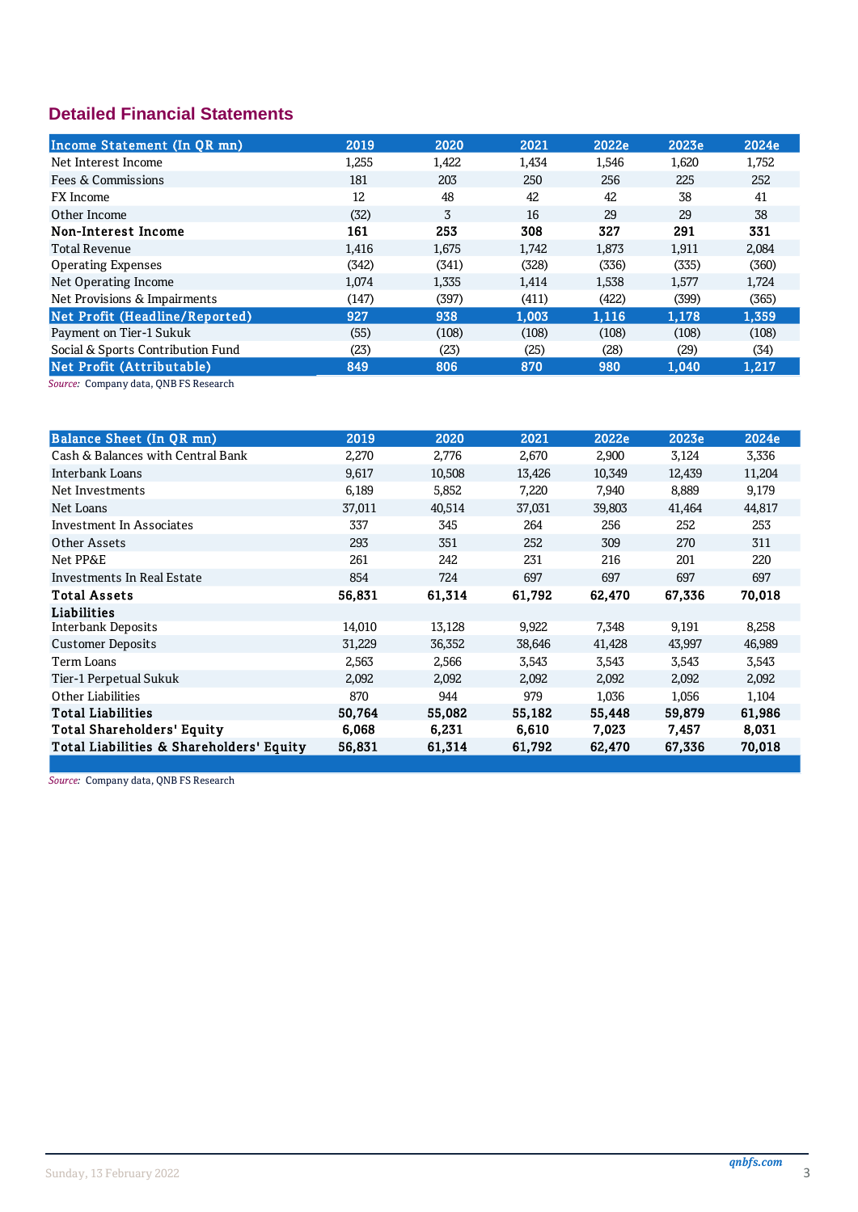# **Detailed Financial Statements**

| Income Statement (In QR mn)       | 2019  | 2020  | 2021  | 2022e | 2023e | 2024e |
|-----------------------------------|-------|-------|-------|-------|-------|-------|
| Net Interest Income               | 1,255 | 1,422 | 1,434 | 1,546 | 1,620 | 1,752 |
| Fees & Commissions                | 181   | 203   | 250   | 256   | 225   | 252   |
| <b>FX</b> Income                  | 12    | 48    | 42    | 42    | 38    | 41    |
| Other Income                      | (32)  | 3     | 16    | 29    | 29    | 38    |
| Non-Interest Income               | 161   | 253   | 308   | 327   | 291   | 331   |
| <b>Total Revenue</b>              | 1,416 | 1,675 | 1,742 | 1,873 | 1,911 | 2,084 |
| <b>Operating Expenses</b>         | (342) | (341) | (328) | (336) | (335) | (360) |
| Net Operating Income              | 1,074 | 1,335 | 1,414 | 1,538 | 1,577 | 1,724 |
| Net Provisions & Impairments      | (147) | (397) | (411) | (422) | (399) | (365) |
| Net Profit (Headline/Reported)    | 927   | 938   | 1.003 | 1.116 | 1.178 | 1,359 |
| Payment on Tier-1 Sukuk           | (55)  | (108) | (108) | (108) | (108) | (108) |
| Social & Sports Contribution Fund | (23)  | (23)  | (25)  | (28)  | (29)  | (34)  |
| Net Profit (Attributable)         | 849   | 806   | 870   | 980   | 1.040 | 1,217 |
|                                   |       |       |       |       |       |       |

Source: Company data, QNB FS Research

| Balance Sheet (In QR mn)                 | 2019   | 2020   | 2021   | 2022e  | 2023e  | 2024e  |
|------------------------------------------|--------|--------|--------|--------|--------|--------|
| Cash & Balances with Central Bank        | 2,270  | 2,776  | 2,670  | 2,900  | 3,124  | 3,336  |
| Interbank Loans                          | 9,617  | 10,508 | 13,426 | 10,349 | 12,439 | 11,204 |
| Net Investments                          | 6,189  | 5,852  | 7,220  | 7,940  | 8,889  | 9,179  |
| Net Loans                                | 37,011 | 40,514 | 37,031 | 39,803 | 41,464 | 44,817 |
| Investment In Associates                 | 337    | 345    | 264    | 256    | 252    | 253    |
| <b>Other Assets</b>                      | 293    | 351    | 252    | 309    | 270    | 311    |
| Net PP&E                                 | 261    | 242    | 231    | 216    | 201    | 220    |
| Investments In Real Estate               | 854    | 724    | 697    | 697    | 697    | 697    |
| <b>Total Assets</b>                      | 56,831 | 61,314 | 61,792 | 62,470 | 67,336 | 70,018 |
| Liabilities                              |        |        |        |        |        |        |
| Interbank Deposits                       | 14,010 | 13,128 | 9,922  | 7,348  | 9,191  | 8,258  |
| <b>Customer Deposits</b>                 | 31,229 | 36,352 | 38,646 | 41,428 | 43,997 | 46,989 |
| Term Loans                               | 2,563  | 2,566  | 3,543  | 3,543  | 3,543  | 3,543  |
| Tier-1 Perpetual Sukuk                   | 2,092  | 2,092  | 2,092  | 2,092  | 2,092  | 2,092  |
| Other Liabilities                        | 870    | 944    | 979    | 1,036  | 1,056  | 1,104  |
| <b>Total Liabilities</b>                 | 50.764 | 55,082 | 55,182 | 55,448 | 59,879 | 61,986 |
| <b>Total Shareholders' Equity</b>        | 6,068  | 6,231  | 6,610  | 7,023  | 7,457  | 8,031  |
| Total Liabilities & Shareholders' Equity | 56,831 | 61,314 | 61,792 | 62,470 | 67,336 | 70,018 |
|                                          |        |        |        |        |        |        |

Source: Company data, QNB FS Research

 $\overline{3}$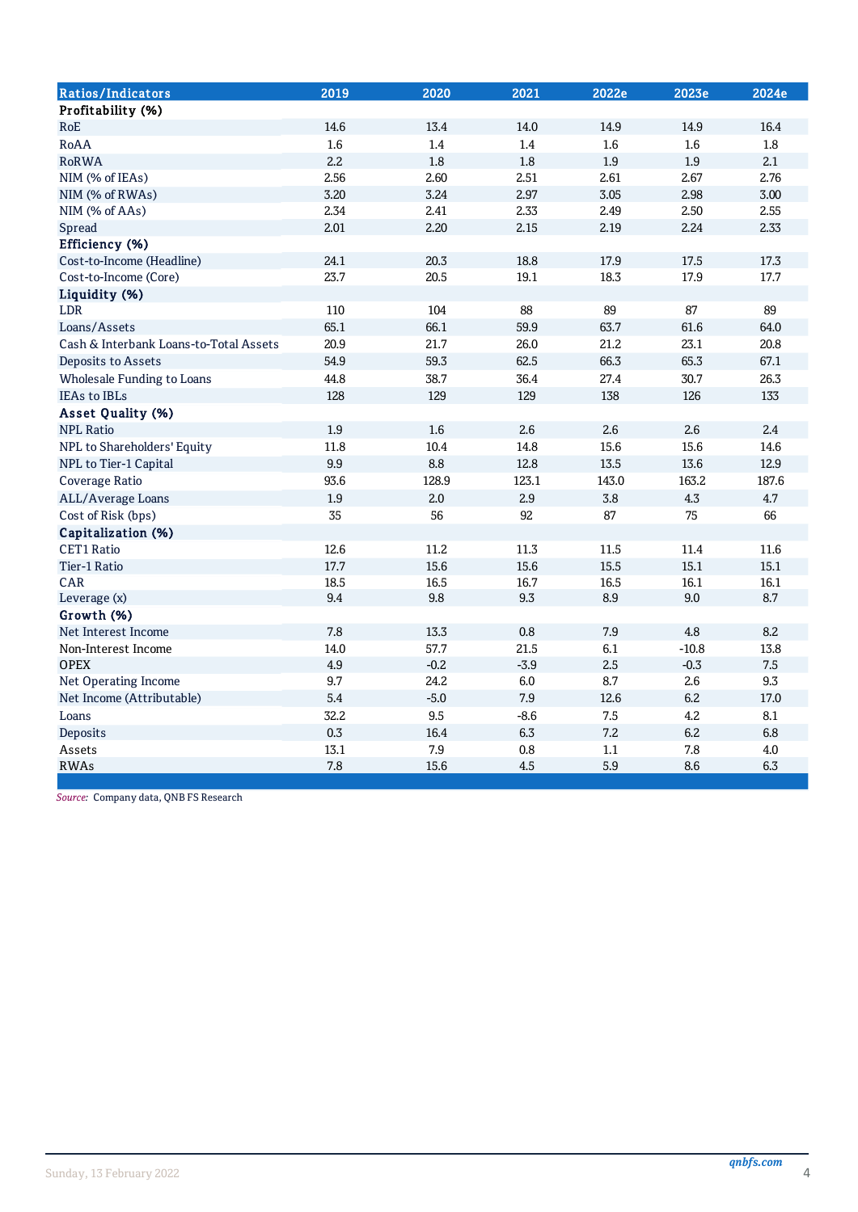| <b>Ratios/Indicators</b>               | 2019 | 2020   | 2021    | 2022e | 2023e   | 2024e   |
|----------------------------------------|------|--------|---------|-------|---------|---------|
| Profitability (%)                      |      |        |         |       |         |         |
| RoE                                    | 14.6 | 13.4   | 14.0    | 14.9  | 14.9    | 16.4    |
| RoAA                                   | 1.6  | 1.4    | 1.4     | 1.6   | 1.6     | 1.8     |
| <b>RoRWA</b>                           | 2.2  | 1.8    | 1.8     | 1.9   | 1.9     | 2.1     |
| NIM (% of IEAs)                        | 2.56 | 2.60   | 2.51    | 2.61  | 2.67    | 2.76    |
| NIM (% of RWAs)                        | 3.20 | 3.24   | 2.97    | 3.05  | 2.98    | 3.00    |
| NIM (% of AAs)                         | 2.34 | 2.41   | 2.33    | 2.49  | 2.50    | 2.55    |
| Spread                                 | 2.01 | 2.20   | 2.15    | 2.19  | 2.24    | 2.33    |
| Efficiency (%)                         |      |        |         |       |         |         |
| Cost-to-Income (Headline)              | 24.1 | 20.3   | 18.8    | 17.9  | 17.5    | 17.3    |
| Cost-to-Income (Core)                  | 23.7 | 20.5   | 19.1    | 18.3  | 17.9    | 17.7    |
| Liquidity (%)                          |      |        |         |       |         |         |
| <b>LDR</b>                             | 110  | 104    | 88      | 89    | 87      | 89      |
| Loans/Assets                           | 65.1 | 66.1   | 59.9    | 63.7  | 61.6    | 64.0    |
| Cash & Interbank Loans-to-Total Assets | 20.9 | 21.7   | 26.0    | 21.2  | 23.1    | 20.8    |
| Deposits to Assets                     | 54.9 | 59.3   | 62.5    | 66.3  | 65.3    | 67.1    |
| Wholesale Funding to Loans             | 44.8 | 38.7   | 36.4    | 27.4  | 30.7    | 26.3    |
| <b>IEAs to IBLs</b>                    | 128  | 129    | 129     | 138   | 126     | 133     |
| Asset Quality (%)                      |      |        |         |       |         |         |
| <b>NPL Ratio</b>                       | 1.9  | 1.6    | 2.6     | 2.6   | 2.6     | 2.4     |
| NPL to Shareholders' Equity            | 11.8 | 10.4   | 14.8    | 15.6  | 15.6    | 14.6    |
| NPL to Tier-1 Capital                  | 9.9  | 8.8    | 12.8    | 13.5  | 13.6    | 12.9    |
| Coverage Ratio                         | 93.6 | 128.9  | 123.1   | 143.0 | 163.2   | 187.6   |
| ALL/Average Loans                      | 1.9  | 2.0    | 2.9     | 3.8   | 4.3     | 4.7     |
| Cost of Risk (bps)                     | 35   | 56     | 92      | 87    | 75      | 66      |
| Capitalization (%)                     |      |        |         |       |         |         |
| <b>CET1 Ratio</b>                      | 12.6 | 11.2   | 11.3    | 11.5  | 11.4    | 11.6    |
| Tier-1 Ratio                           | 17.7 | 15.6   | 15.6    | 15.5  | 15.1    | 15.1    |
| <b>CAR</b>                             | 18.5 | 16.5   | 16.7    | 16.5  | 16.1    | 16.1    |
| Leverage (x)                           | 9.4  | 9.8    | 9.3     | 8.9   | 9.0     | 8.7     |
| Growth (%)                             |      |        |         |       |         |         |
| Net Interest Income                    | 7.8  | 13.3   | 0.8     | 7.9   | 4.8     | 8.2     |
| Non-Interest Income                    | 14.0 | 57.7   | 21.5    | 6.1   | $-10.8$ | 13.8    |
| <b>OPEX</b>                            | 4.9  | $-0.2$ | $-3.9$  | 2.5   | $-0.3$  | $7.5\,$ |
| Net Operating Income                   | 9.7  | 24.2   | $6.0\,$ | 8.7   | 2.6     | 9.3     |
| Net Income (Attributable)              | 5.4  | $-5.0$ | 7.9     | 12.6  | 6.2     | 17.0    |
| Loans                                  | 32.2 | 9.5    | $-8.6$  | 7.5   | 4.2     | 8.1     |
| Deposits                               | 0.3  | 16.4   | 6.3     | 7.2   | 6.2     | 6.8     |
| Assets                                 | 13.1 | 7.9    | 0.8     | 1.1   | 7.8     | 4.0     |
| <b>RWAs</b>                            | 7.8  | 15.6   | 4.5     | 5.9   | 8.6     | 6.3     |

Source: Company data, QNB FS Research